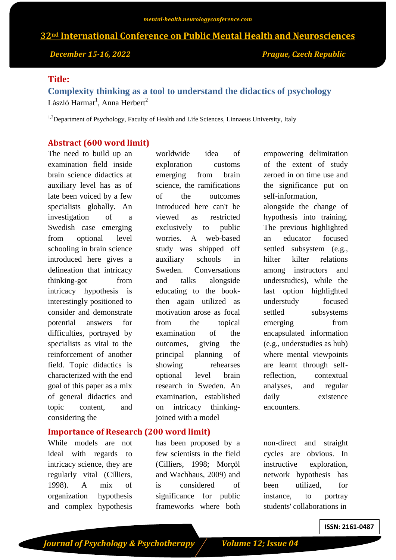# **32nd International Conference on Public Mental Health and Neurosciences**

*December 15-16, 2022 Prague, Czech Republic*

## **Title:**

**Complexity thinking as a tool to understand the didactics of psychology** László Harmat<sup>1</sup>, Anna Herbert<sup>2</sup>

<sup>1,2</sup>Department of Psychology, Faculty of Health and Life Sciences, Linnaeus University, Italy

## **Abstract (600 word limit)**

The need to build up an examination field inside brain science didactics at auxiliary level has as of late been voiced by a few specialists globally. An investigation of a Swedish case emerging from optional level schooling in brain science introduced here gives a delineation that intricacy thinking-got from intricacy hypothesis is interestingly positioned to consider and demonstrate potential answers for difficulties, portrayed by specialists as vital to the reinforcement of another field. Topic didactics is characterized with the end goal of this paper as a mix of general didactics and topic content, and considering the

**Importance of Research (200 word limit)**

While models are not ideal with regards to intricacy science, they are regularly vital (Cilliers, 1998). A mix of organization hypothesis and complex hypothesis

worldwide idea of exploration customs emerging from brain science, the ramifications of the outcomes introduced here can't be viewed as restricted exclusively to public worries. A web-based study was shipped off auxiliary schools in Sweden. Conversations and talks alongside educating to the bookthen again utilized as motivation arose as focal from the topical examination of the outcomes, giving the principal planning of showing rehearses optional level brain research in Sweden. An examination, established on intricacy thinkingjoined with a model

has been proposed by a few scientists in the field (Cilliers, 1998; Morçöl and Wachhaus, 2009) and is considered of significance for public frameworks where both

empowering delimitation of the extent of study zeroed in on time use and the significance put on self-information, alongside the change of hypothesis into training. The previous highlighted an educator focused settled subsystem (e.g., hilter kilter relations among instructors and understudies), while the last option highlighted understudy focused settled subsystems emerging from encapsulated information (e.g., understudies as hub) where mental viewpoints are learnt through selfreflection, contextual analyses, and regular daily existence encounters.

non-direct and straight cycles are obvious. In instructive exploration, network hypothesis has been utilized, for instance, to portray students' collaborations in

**ISSN: 2161-0487**

*<i>Journal of Psychology & Psychotherapy* / *Volume 12; Issue 04*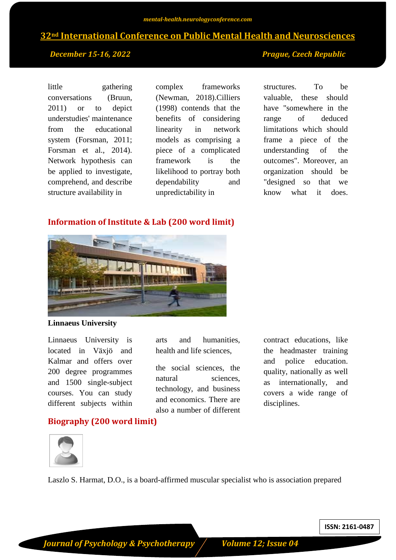# **32nd International Conference on Public Mental Health and Neurosciences**

## *December 15-16, 2022 Prague, Czech Republic*

little gathering conversations (Bruun, 2011) or to depict understudies' maintenance from the educational system (Forsman, 2011; Forsman et al., 2014). Network hypothesis can be applied to investigate, comprehend, and describe structure availability in

complex frameworks (Newman, 2018).Cilliers (1998) contends that the benefits of considering linearity in network models as comprising a piece of a complicated framework is the likelihood to portray both dependability and unpredictability in

structures. To be valuable, these should have "somewhere in the range of deduced limitations which should frame a piece of the understanding of the outcomes". Moreover, an organization should be "designed so that we know what it does.

## **Information of Institute & Lab (200 word limit)**



### **Linnaeus University**

Linnaeus University is located in Växjö and Kalmar and offers over 200 degree programmes and 1500 single-subject courses. You can study different subjects within

arts and humanities, health and life sciences,

the social sciences, the natural sciences. technology, and business and economics. There are also a number of different contract educations, like the headmaster training and police education. quality, nationally as well as internationally, and covers a wide range of disciplines.

## **Biography (200 word limit)**



Laszlo S. Harmat, D.O., is a board-affirmed muscular specialist who is association prepared

**ISSN: 2161-0487**

*<i>Journal of Psychology & Psychotherapy* / *Volume 12; Issue 04*